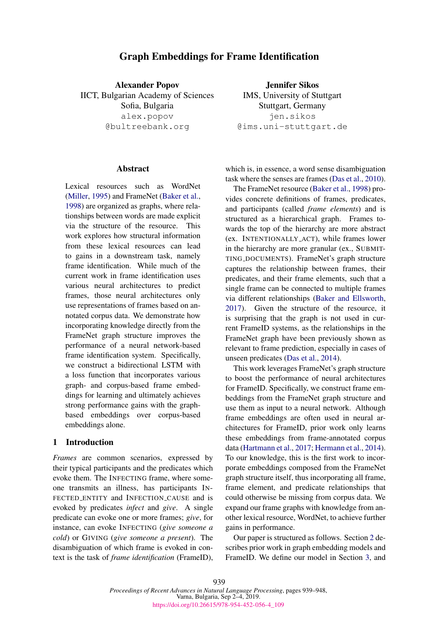# Graph Embeddings for Frame Identification

Alexander Popov IICT, Bulgarian Academy of Sciences Sofia, Bulgaria alex.popov @bultreebank.org

#### **Abstract**

Lexical resources such as WordNet [\(Miller,](#page-8-0) [1995\)](#page-8-0) and FrameNet [\(Baker et al.,](#page-8-1) [1998\)](#page-8-1) are organized as graphs, where relationships between words are made explicit via the structure of the resource. This work explores how structural information from these lexical resources can lead to gains in a downstream task, namely frame identification. While much of the current work in frame identification uses various neural architectures to predict frames, those neural architectures only use representations of frames based on annotated corpus data. We demonstrate how incorporating knowledge directly from the FrameNet graph structure improves the performance of a neural network-based frame identification system. Specifically, we construct a bidirectional LSTM with a loss function that incorporates various graph- and corpus-based frame embeddings for learning and ultimately achieves strong performance gains with the graphbased embeddings over corpus-based embeddings alone.

#### <span id="page-0-0"></span>1 Introduction

*Frames* are common scenarios, expressed by their typical participants and the predicates which evoke them. The INFECTING frame, where someone transmits an illness, has participants IN-FECTED ENTITY and INFECTION CAUSE and is evoked by predicates *infect* and *give*. A single predicate can evoke one or more frames; *give*, for instance, can evoke INFECTING (*give someone a cold*) or GIVING (*give someone a present*). The disambiguation of which frame is evoked in context is the task of *frame identification* (FrameID),

Jennifer Sikos IMS, University of Stuttgart Stuttgart, Germany jen.sikos @ims.uni-stuttgart.de

which is, in essence, a word sense disambiguation task where the senses are frames [\(Das et al.,](#page-8-2) [2010\)](#page-8-2).

The FrameNet resource [\(Baker et al.,](#page-8-1) [1998\)](#page-8-1) provides concrete definitions of frames, predicates, and participants (called *frame elements*) and is structured as a hierarchical graph. Frames towards the top of the hierarchy are more abstract (ex. INTENTIONALLY ACT), while frames lower in the hierarchy are more granular (ex., SUBMIT-TING DOCUMENTS). FrameNet's graph structure captures the relationship between frames, their predicates, and their frame elements, such that a single frame can be connected to multiple frames via different relationships [\(Baker and Ellsworth,](#page-8-3) [2017\)](#page-8-3). Given the structure of the resource, it is surprising that the graph is not used in current FrameID systems, as the relationships in the FrameNet graph have been previously shown as relevant to frame prediction, especially in cases of unseen predicates [\(Das et al.,](#page-8-4) [2014\)](#page-8-4).

This work leverages FrameNet's graph structure to boost the performance of neural architectures for FrameID. Specifically, we construct frame embeddings from the FrameNet graph structure and use them as input to a neural network. Although frame embeddings are often used in neural architectures for FrameID, prior work only learns these embeddings from frame-annotated corpus data [\(Hartmann et al.,](#page-8-5) [2017;](#page-8-5) [Hermann et al.,](#page-8-6) [2014\)](#page-8-6). To our knowledge, this is the first work to incorporate embeddings composed from the FrameNet graph structure itself, thus incorporating all frame, frame element, and predicate relationships that could otherwise be missing from corpus data. We expand our frame graphs with knowledge from another lexical resource, WordNet, to achieve further gains in performance.

Our paper is structured as follows. Section [2](#page-1-0) describes prior work in graph embedding models and FrameID. We define our model in Section [3,](#page-1-1) and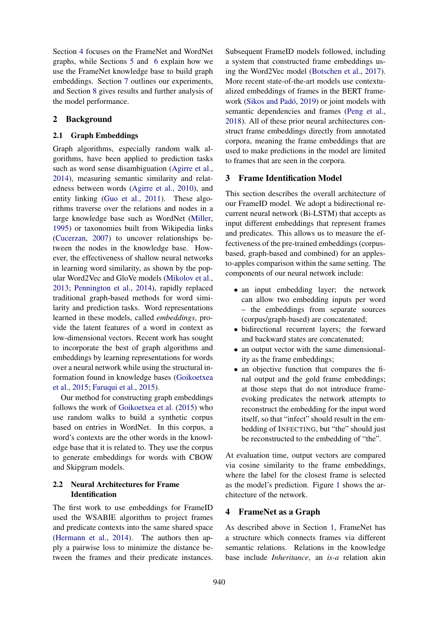Section [4](#page-1-2) focuses on the FrameNet and WordNet graphs, while Sections [5](#page-3-0) and [6](#page-4-0) explain how we use the FrameNet knowledge base to build graph embeddings. Section [7](#page-4-1) outlines our experiments, and Section [8](#page-5-0) gives results and further analysis of the model performance.

# <span id="page-1-0"></span>2 Background

### 2.1 Graph Embeddings

Graph algorithms, especially random walk algorithms, have been applied to prediction tasks such as word sense disambiguation [\(Agirre et al.,](#page-8-7) [2014\)](#page-8-7), measuring semantic similarity and relatedness between words [\(Agirre et al.,](#page-8-8) [2010\)](#page-8-8), and entity linking [\(Guo et al.,](#page-8-9) [2011\)](#page-8-9). These algorithms traverse over the relations and nodes in a large knowledge base such as WordNet [\(Miller,](#page-8-0) [1995\)](#page-8-0) or taxonomies built from Wikipedia links [\(Cucerzan,](#page-8-10) [2007\)](#page-8-10) to uncover relationships between the nodes in the knowledge base. However, the effectiveness of shallow neural networks in learning word similarity, as shown by the popular Word2Vec and GloVe models [\(Mikolov et al.,](#page-8-11) [2013;](#page-8-11) [Pennington et al.,](#page-9-0) [2014\)](#page-9-0), rapidly replaced traditional graph-based methods for word similarity and prediction tasks. Word representations learned in these models, called *embeddings*, provide the latent features of a word in context as low-dimensional vectors. Recent work has sought to incorporate the best of graph algorithms and embeddings by learning representations for words over a neural network while using the structural information found in knowledge bases [\(Goikoetxea](#page-8-12) [et al.,](#page-8-12) [2015;](#page-8-12) [Faruqui et al.,](#page-8-13) [2015\)](#page-8-13).

Our method for constructing graph embeddings follows the work of [Goikoetxea et al.](#page-8-12) [\(2015\)](#page-8-12) who use random walks to build a synthetic corpus based on entries in WordNet. In this corpus, a word's contexts are the other words in the knowledge base that it is related to. They use the corpus to generate embeddings for words with CBOW and Skipgram models.

### 2.2 Neural Architectures for Frame Identification

The first work to use embeddings for FrameID used the WSABIE algorithm to project frames and predicate contexts into the same shared space [\(Hermann et al.,](#page-8-6) [2014\)](#page-8-6). The authors then apply a pairwise loss to minimize the distance between the frames and their predicate instances.

Subsequent FrameID models followed, including a system that constructed frame embeddings using the Word2Vec model [\(Botschen et al.,](#page-8-14) [2017\)](#page-8-14). More recent state-of-the-art models use contextualized embeddings of frames in the BERT frame-work (Sikos and Padó, [2019\)](#page-9-1) or joint models with semantic dependencies and frames [\(Peng et al.,](#page-9-2) [2018\)](#page-9-2). All of these prior neural architectures construct frame embeddings directly from annotated corpora, meaning the frame embeddings that are used to make predictions in the model are limited to frames that are seen in the corpora.

## <span id="page-1-1"></span>3 Frame Identification Model

This section describes the overall architecture of our FrameID model. We adopt a bidirectional recurrent neural network (Bi-LSTM) that accepts as input different embeddings that represent frames and predicates. This allows us to measure the effectiveness of the pre-trained embeddings (corpusbased, graph-based and combined) for an applesto-apples comparison within the same setting. The components of our neural network include:

- an input embedding layer; the network can allow two embedding inputs per word – the embeddings from separate sources (corpus/graph-based) are concatenated;
- bidirectional recurrent layers; the forward and backward states are concatenated;
- an output vector with the same dimensionality as the frame embeddings;
- an objective function that compares the final output and the gold frame embeddings; at those steps that do not introduce frameevoking predicates the network attempts to reconstruct the embedding for the input word itself, so that "infect" should result in the embedding of INFECTING, but "the" should just be reconstructed to the embedding of "the".

At evaluation time, output vectors are compared via cosine similarity to the frame embeddings, where the label for the closest frame is selected as the model's prediction. Figure [1](#page-2-0) shows the architecture of the network.

# <span id="page-1-2"></span>4 FrameNet as a Graph

As described above in Section [1,](#page-0-0) FrameNet has a structure which connects frames via different semantic relations. Relations in the knowledge base include *Inheritance*, an *is-a* relation akin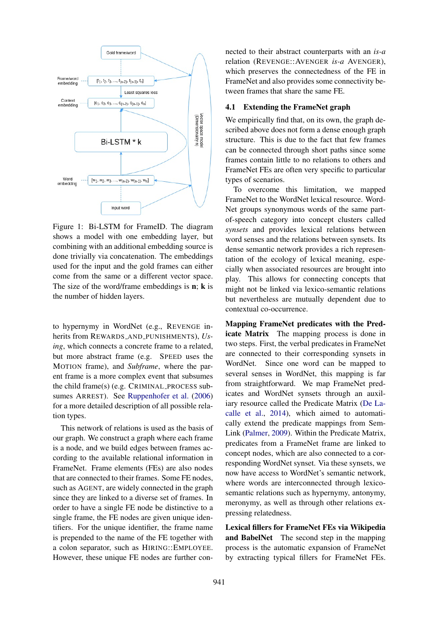<span id="page-2-0"></span>

Figure 1: Bi-LSTM for FrameID. The diagram shows a model with one embedding layer, but combining with an additional embedding source is done trivially via concatenation. The embeddings used for the input and the gold frames can either come from the same or a different vector space. The size of the word/frame embeddings is  $n$ ;  $k$  is the number of hidden layers.

to hypernymy in WordNet (e.g., REVENGE inherits from REWARDS AND PUNISHMENTS), *Using*, which connects a concrete frame to a related, but more abstract frame (e.g. SPEED uses the MOTION frame), and *Subframe*, where the parent frame is a more complex event that subsumes the child frame(s) (e.g. CRIMINAL PROCESS subsumes ARREST). See [Ruppenhofer et al.](#page-9-3) [\(2006\)](#page-9-3) for a more detailed description of all possible relation types.

This network of relations is used as the basis of our graph. We construct a graph where each frame is a node, and we build edges between frames according to the available relational information in FrameNet. Frame elements (FEs) are also nodes that are connected to their frames. Some FE nodes, such as AGENT, are widely connected in the graph since they are linked to a diverse set of frames. In order to have a single FE node be distinctive to a single frame, the FE nodes are given unique identifiers. For the unique identifier, the frame name is prepended to the name of the FE together with a colon separator, such as HIRING::EMPLOYEE. However, these unique FE nodes are further con-

nected to their abstract counterparts with an *is-a* relation (REVENGE::AVENGER *is-a* AVENGER), which preserves the connectedness of the FE in FrameNet and also provides some connectivity between frames that share the same FE.

#### 4.1 Extending the FrameNet graph

We empirically find that, on its own, the graph described above does not form a dense enough graph structure. This is due to the fact that few frames can be connected through short paths since some frames contain little to no relations to others and FrameNet FEs are often very specific to particular types of scenarios.

To overcome this limitation, we mapped FrameNet to the WordNet lexical resource. Word-Net groups synonymous words of the same partof-speech category into concept clusters called *synsets* and provides lexical relations between word senses and the relations between synsets. Its dense semantic network provides a rich representation of the ecology of lexical meaning, especially when associated resources are brought into play. This allows for connecting concepts that might not be linked via lexico-semantic relations but nevertheless are mutually dependent due to contextual co-occurrence.

Mapping FrameNet predicates with the Predicate Matrix The mapping process is done in two steps. First, the verbal predicates in FrameNet are connected to their corresponding synsets in WordNet. Since one word can be mapped to several senses in WordNet, this mapping is far from straightforward. We map FrameNet predicates and WordNet synsets through an auxiliary resource called the Predicate Matrix [\(De La](#page-8-15)[calle et al.,](#page-8-15) [2014\)](#page-8-15), which aimed to automatically extend the predicate mappings from Sem-Link [\(Palmer,](#page-8-16) [2009\)](#page-8-16). Within the Predicate Matrix, predicates from a FrameNet frame are linked to concept nodes, which are also connected to a corresponding WordNet synset. Via these synsets, we now have access to WordNet's semantic network, where words are interconnected through lexicosemantic relations such as hypernymy, antonymy, meronymy, as well as through other relations expressing relatedness.

Lexical fillers for FrameNet FEs via Wikipedia and BabelNet The second step in the mapping process is the automatic expansion of FrameNet by extracting typical fillers for FrameNet FEs.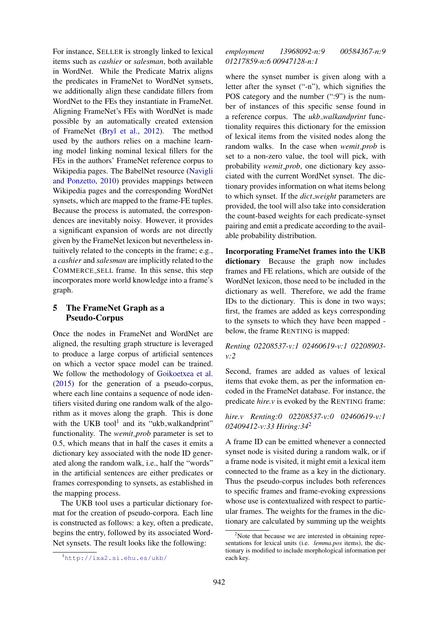For instance, SELLER is strongly linked to lexical items such as *cashier* or *salesman*, both available in WordNet. While the Predicate Matrix aligns the predicates in FrameNet to WordNet synsets, we additionally align these candidate fillers from WordNet to the FEs they instantiate in FrameNet. Aligning FrameNet's FEs with WordNet is made possible by an automatically created extension of FrameNet [\(Bryl et al.,](#page-8-17) [2012\)](#page-8-17). The method used by the authors relies on a machine learning model linking nominal lexical fillers for the FEs in the authors' FrameNet reference corpus to Wikipedia pages. The BabelNet resource [\(Navigli](#page-8-18) [and Ponzetto,](#page-8-18) [2010\)](#page-8-18) provides mappings between Wikipedia pages and the corresponding WordNet synsets, which are mapped to the frame-FE tuples. Because the process is automated, the correspondences are inevitably noisy. However, it provides a significant expansion of words are not directly given by the FrameNet lexicon but nevertheless intuitively related to the concepts in the frame; e.g., a *cashier* and *salesman* are implicitly related to the COMMERCE SELL frame. In this sense, this step incorporates more world knowledge into a frame's graph.

### <span id="page-3-0"></span>5 The FrameNet Graph as a Pseudo-Corpus

Once the nodes in FrameNet and WordNet are aligned, the resulting graph structure is leveraged to produce a large corpus of artificial sentences on which a vector space model can be trained. We follow the methodology of [Goikoetxea et al.](#page-8-12) [\(2015\)](#page-8-12) for the generation of a pseudo-corpus, where each line contains a sequence of node identifiers visited during one random walk of the algorithm as it moves along the graph. This is done with the UKB tool<sup>[1](#page-3-1)</sup> and its "ukb\_walkandprint" functionality. The *wemit prob* parameter is set to 0.5, which means that in half the cases it emits a dictionary key associated with the node ID generated along the random walk, i.e., half the "words" in the artificial sentences are either predicates or frames corresponding to synsets, as established in the mapping process.

The UKB tool uses a particular dictionary format for the creation of pseudo-corpora. Each line is constructed as follows: a key, often a predicate, begins the entry, followed by its associated Word-Net synsets. The result looks like the following:

#### *employment 13968092-n:9 00584367-n:9 01217859-n:6 00947128-n:1*

where the synset number is given along with a letter after the synset ("-n"), which signifies the POS category and the number (":9") is the number of instances of this specific sense found in a reference corpus. The *ukb walkandprint* functionality requires this dictionary for the emission of lexical items from the visited nodes along the random walks. In the case when *wemit prob* is set to a non-zero value, the tool will pick, with probability *wemit prob*, one dictionary key associated with the current WordNet synset. The dictionary provides information on what items belong to which synset. If the *dict weight* parameters are provided, the tool will also take into consideration the count-based weights for each predicate-synset pairing and emit a predicate according to the available probability distribution.

Incorporating FrameNet frames into the UKB dictionary Because the graph now includes frames and FE relations, which are outside of the WordNet lexicon, those need to be included in the dictionary as well. Therefore, we add the frame IDs to the dictionary. This is done in two ways; first, the frames are added as keys corresponding to the synsets to which they have been mapped below, the frame RENTING is mapped:

#### *Renting 02208537-v:1 02460619-v:1 02208903 v:2*

Second, frames are added as values of lexical items that evoke them, as per the information encoded in the FrameNet database. For instance, the predicate *hire.v* is evoked by the RENTING frame:

# *hire.v Renting:0 02208537-v:0 02460619-v:1 02409412-v:33 Hiring:34*[2](#page-3-2)

A frame ID can be emitted whenever a connected synset node is visited during a random walk, or if a frame node is visited, it might emit a lexical item connected to the frame as a key in the dictionary. Thus the pseudo-corpus includes both references to specific frames and frame-evoking expressions whose use is contextualized with respect to particular frames. The weights for the frames in the dictionary are calculated by summing up the weights

<span id="page-3-1"></span><sup>1</sup><http://ixa2.si.ehu.es/ukb/>

<span id="page-3-2"></span> $2$ Note that because we are interested in obtaining representations for lexical units (i.e. *lemma.pos* items), the dictionary is modified to include morphological information per each key.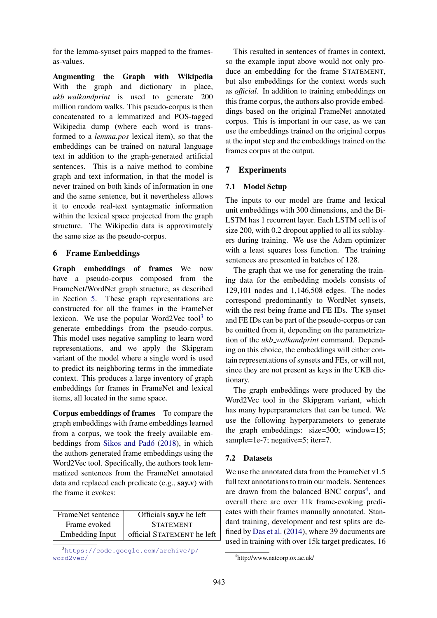for the lemma-synset pairs mapped to the framesas-values.

Augmenting the Graph with Wikipedia With the graph and dictionary in place, *ukb walkandprint* is used to generate 200 million random walks. This pseudo-corpus is then concatenated to a lemmatized and POS-tagged Wikipedia dump (where each word is transformed to a *lemma.pos* lexical item), so that the embeddings can be trained on natural language text in addition to the graph-generated artificial sentences. This is a naive method to combine graph and text information, in that the model is never trained on both kinds of information in one and the same sentence, but it nevertheless allows it to encode real-text syntagmatic information within the lexical space projected from the graph structure. The Wikipedia data is approximately the same size as the pseudo-corpus.

### <span id="page-4-0"></span>6 Frame Embeddings

Graph embeddings of frames We now have a pseudo-corpus composed from the FrameNet/WordNet graph structure, as described in Section [5.](#page-3-0) These graph representations are constructed for all the frames in the FrameNet lexicon. We use the popular Word2Vec tool $3$  to generate embeddings from the pseudo-corpus. This model uses negative sampling to learn word representations, and we apply the Skipgram variant of the model where a single word is used to predict its neighboring terms in the immediate context. This produces a large inventory of graph embeddings for frames in FrameNet and lexical items, all located in the same space.

Corpus embeddings of frames To compare the graph embeddings with frame embeddings learned from a corpus, we took the freely available embeddings from [Sikos and Pado´](#page-9-4) [\(2018\)](#page-9-4), in which the authors generated frame embeddings using the Word2Vec tool. Specifically, the authors took lemmatized sentences from the FrameNet annotated data and replaced each predicate (e.g., say.v) with the frame it evokes:

| FrameNet sentence      | Officials say.v he left    |
|------------------------|----------------------------|
| Frame evoked           | <b>STATEMENT</b>           |
| <b>Embedding Input</b> | official STATEMENT he left |

<span id="page-4-2"></span><sup>3</sup>[https://code.google.com/archive/p/](https://code.google.com/archive/p/word2vec/) [word2vec/](https://code.google.com/archive/p/word2vec/)

This resulted in sentences of frames in context, so the example input above would not only produce an embedding for the frame STATEMENT, but also embeddings for the context words such as *official*. In addition to training embeddings on this frame corpus, the authors also provide embeddings based on the original FrameNet annotated corpus. This is important in our case, as we can use the embeddings trained on the original corpus at the input step and the embeddings trained on the frames corpus at the output.

## <span id="page-4-1"></span>7 Experiments

### 7.1 Model Setup

The inputs to our model are frame and lexical unit embeddings with 300 dimensions, and the Bi-LSTM has 1 recurrent layer. Each LSTM cell is of size 200, with 0.2 dropout applied to all its sublayers during training. We use the Adam optimizer with a least squares loss function. The training sentences are presented in batches of 128.

The graph that we use for generating the training data for the embedding models consists of 129,101 nodes and 1,146,508 edges. The nodes correspond predominantly to WordNet synsets, with the rest being frame and FE IDs. The synset and FE IDs can be part of the pseudo-corpus or can be omitted from it, depending on the parametrization of the *ukb walkandprint* command. Depending on this choice, the embeddings will either contain representations of synsets and FEs, or will not, since they are not present as keys in the UKB dictionary.

The graph embeddings were produced by the Word2Vec tool in the Skipgram variant, which has many hyperparameters that can be tuned. We use the following hyperparameters to generate the graph embeddings: size=300; window=15; sample=1e-7; negative=5; iter=7.

## 7.2 Datasets

We use the annotated data from the FrameNet v1.5 full text annotations to train our models. Sentences are drawn from the balanced BNC corpus<sup>[4](#page-4-3)</sup>, and overall there are over 11k frame-evoking predicates with their frames manually annotated. Standard training, development and test splits are defined by [Das et al.](#page-8-4) [\(2014\)](#page-8-4), where 39 documents are used in training with over 15k target predicates, 16

<span id="page-4-3"></span><sup>4</sup> http://www.natcorp.ox.ac.uk/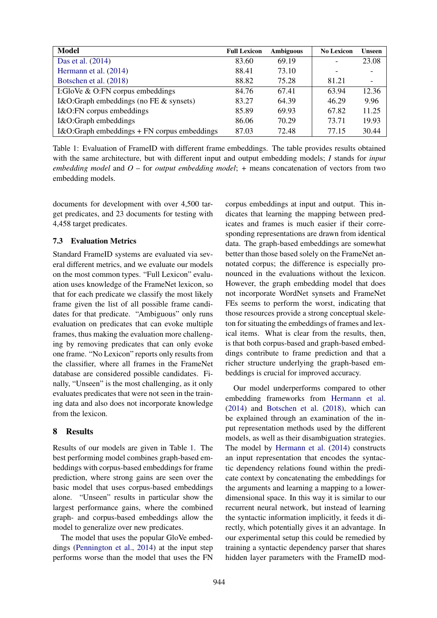<span id="page-5-1"></span>

| <b>Model</b>                                | <b>Full Lexicon</b> | <b>Ambiguous</b> | <b>No Lexicon</b> | <b>Unseen</b> |
|---------------------------------------------|---------------------|------------------|-------------------|---------------|
| Das et al. (2014)                           | 83.60               | 69.19            |                   | 23.08         |
| Hermann et al. (2014)                       | 88.41               | 73.10            |                   |               |
| Botschen et al. (2018)                      | 88.82               | 75.28            | 81.21             |               |
| I:GloVe $&$ O:FN corpus embeddings          | 84.76               | 67.41            | 63.94             | 12.36         |
| I&O:Graph embeddings (no FE & synsets)      | 83.27               | 64.39            | 46.29             | 9.96          |
| I&O:FN corpus embeddings                    | 85.89               | 69.93            | 67.82             | 11.25         |
| I&O:Graph embeddings                        | 86.06               | 70.29            | 73.71             | 19.93         |
| I&O:Graph embeddings + FN corpus embeddings | 87.03               | 72.48            | 77.15             | 30.44         |

Table 1: Evaluation of FrameID with different frame embeddings. The table provides results obtained with the same architecture, but with different input and output embedding models; *I* stands for *input embedding model* and *O* – for *output embedding model*; *+* means concatenation of vectors from two embedding models.

documents for development with over 4,500 target predicates, and 23 documents for testing with 4,458 target predicates.

#### 7.3 Evaluation Metrics

Standard FrameID systems are evaluated via several different metrics, and we evaluate our models on the most common types. "Full Lexicon" evaluation uses knowledge of the FrameNet lexicon, so that for each predicate we classify the most likely frame given the list of all possible frame candidates for that predicate. "Ambiguous" only runs evaluation on predicates that can evoke multiple frames, thus making the evaluation more challenging by removing predicates that can only evoke one frame. "No Lexicon" reports only results from the classifier, where all frames in the FrameNet database are considered possible candidates. Finally, "Unseen" is the most challenging, as it only evaluates predicates that were not seen in the training data and also does not incorporate knowledge from the lexicon.

### <span id="page-5-0"></span>8 Results

Results of our models are given in Table [1.](#page-5-1) The best performing model combines graph-based embeddings with corpus-based embeddings for frame prediction, where strong gains are seen over the basic model that uses corpus-based embeddings alone. "Unseen" results in particular show the largest performance gains, where the combined graph- and corpus-based embeddings allow the model to generalize over new predicates.

The model that uses the popular GloVe embeddings [\(Pennington et al.,](#page-9-0) [2014\)](#page-9-0) at the input step performs worse than the model that uses the FN corpus embeddings at input and output. This indicates that learning the mapping between predicates and frames is much easier if their corresponding representations are drawn from identical data. The graph-based embeddings are somewhat better than those based solely on the FrameNet annotated corpus; the difference is especially pronounced in the evaluations without the lexicon. However, the graph embedding model that does not incorporate WordNet synsets and FrameNet FEs seems to perform the worst, indicating that those resources provide a strong conceptual skeleton for situating the embeddings of frames and lexical items. What is clear from the results, then, is that both corpus-based and graph-based embeddings contribute to frame prediction and that a richer structure underlying the graph-based embeddings is crucial for improved accuracy.

Our model underperforms compared to other embedding frameworks from [Hermann et al.](#page-8-6) [\(2014\)](#page-8-6) and [Botschen et al.](#page-8-19) [\(2018\)](#page-8-19), which can be explained through an examination of the input representation methods used by the different models, as well as their disambiguation strategies. The model by [Hermann et al.](#page-8-6) [\(2014\)](#page-8-6) constructs an input representation that encodes the syntactic dependency relations found within the predicate context by concatenating the embeddings for the arguments and learning a mapping to a lowerdimensional space. In this way it is similar to our recurrent neural network, but instead of learning the syntactic information implicitly, it feeds it directly, which potentially gives it an advantage. In our experimental setup this could be remedied by training a syntactic dependency parser that shares hidden layer parameters with the FrameID mod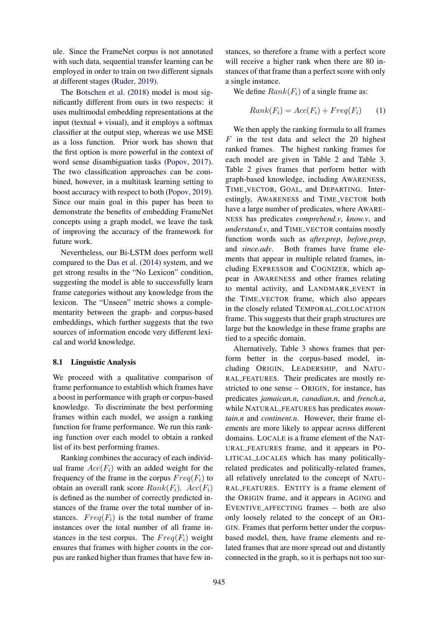ule. Since the FrameNet corpus is not annotated with such data, sequential transfer learning can be employed in order to train on two different signals at different stages [\(Ruder,](#page-9-5) [2019\)](#page-9-5).

The [Botschen et al.](#page-8-19) [\(2018\)](#page-8-19) model is most significantly different from ours in two respects: it uses multimodal embedding representations at the input (textual  $+$  visual), and it employs a softmax classifier at the output step, whereas we use MSE as a loss function. Prior work has shown that the first option is more powerful in the context of word sense disambiguation tasks [\(Popov,](#page-9-6) [2017\)](#page-9-6). The two classification approaches can be combined, however, in a multitask learning setting to boost accuracy with respect to both [\(Popov,](#page-9-7) [2019\)](#page-9-7). Since our main goal in this paper has been to demonstrate the benefits of embedding FrameNet concepts using a graph model, we leave the task of improving the accuracy of the framework for future work.

Nevertheless, our Bi-LSTM does perform well compared to the [Das et al.](#page-8-4) [\(2014\)](#page-8-4) system, and we get strong results in the "No Lexicon" condition, suggesting the model is able to successfully learn frame categories without any knowledge from the lexicon. The "Unseen" metric shows a complementarity between the graph- and corpus-based embeddings, which further suggests that the two sources of information encode very different lexical and world knowledge.

#### 8.1 Linguistic Analysis

We proceed with a qualitative comparison of frame performance to establish which frames have a boost in performance with graph or corpus-based knowledge. To discriminate the best performing frames within each model, we assign a ranking function for frame performance. We run this ranking function over each model to obtain a ranked list of its best performing frames.

Ranking combines the accuracy of each individual frame  $Acc(F_i)$  with an added weight for the frequency of the frame in the corpus  $Freq(F_i)$  to obtain an overall rank score  $Rank(F_i)$ .  $Acc(F_i)$ is defined as the number of correctly predicted instances of the frame over the total number of instances.  $Freq(F_i)$  is the total number of frame instances over the total number of all frame instances in the test corpus. The  $Freq(F_i)$  weight ensures that frames with higher counts in the corpus are ranked higher than frames that have few in-

stances, so therefore a frame with a perfect score will receive a higher rank when there are 80 instances of that frame than a perfect score with only a single instance.

We define  $Rank(F_i)$  of a single frame as:

$$
Rank(F_i) = Acc(F_i) + Freq(F_i)
$$
 (1)

We then apply the ranking formula to all frames  $F$  in the test data and select the 20 highest ranked frames. The highest ranking frames for each model are given in Table [2](#page-7-0) and Table [3.](#page-7-0) Table [2](#page-7-0) gives frames that perform better with graph-based knowledge, including AWARENESS, TIME VECTOR, GOAL, and DEPARTING. Interestingly, AWARENESS and TIME VECTOR both have a large number of predicates, where AWARE-NESS has predicates *comprehend.v*, *know.v*, and *understand.v, and TIME\_VECTOR contains mostly* function words such as *after.prep*, *before.prep*, and *since.adv*. Both frames have frame elements that appear in multiple related frames, including EXPRESSOR and COGNIZER, which appear in AWARENESS and other frames relating to mental activity, and LANDMARK EVENT in the TIME VECTOR frame, which also appears in the closely related TEMPORAL COLLOCATION frame. This suggests that their graph structures are large but the knowledge in these frame graphs are tied to a specific domain.

Alternatively, Table [3](#page-7-0) shows frames that perform better in the corpus-based model, including ORIGIN, LEADERSHIP, and NATU-RAL FEATURES. Their predicates are mostly restricted to one sense – ORIGIN, for instance, has predicates *jamaican.n*, *canadian.n*, and *french.a*, while NATURAL FEATURES has predicates *mountain.n* and *continent.n*. However, their frame elements are more likely to appear across different domains. LOCALE is a frame element of the NAT-URAL FEATURES frame, and it appears in PO-LITICAL LOCALES which has many politicallyrelated predicates and politically-related frames, all relatively unrelated to the concept of NATU-RAL FEATURES. ENTITY is a frame element of the ORIGIN frame, and it appears in AGING and EVENTIVE AFFECTING frames – both are also only loosely related to the concept of an ORI-GIN. Frames that perform better under the corpusbased model, then, have frame elements and related frames that are more spread out and distantly connected in the graph, so it is perhaps not too sur-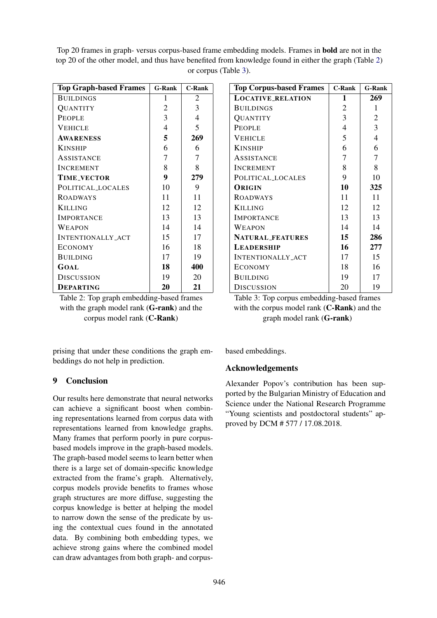<span id="page-7-0"></span>

| Top 20 frames in graph-versus corpus-based frame embedding models. Frames in <b>bold</b> are not in the |
|---------------------------------------------------------------------------------------------------------|
| top 20 of the other model, and thus have benefited from knowledge found in either the graph (Table 2)   |
| or corpus (Table 3).                                                                                    |

| <b>Top Graph-based Frames</b> | <b>G-Rank</b> | <b>C-Rank</b> |  |
|-------------------------------|---------------|---------------|--|
| <b>BUILDINGS</b>              | 1             | 2             |  |
| QUANTITY                      | 2             | 3             |  |
| <b>PEOPLE</b>                 | 3             | 4             |  |
| <b>VEHICLE</b>                | 4             | 5             |  |
| <b>AWARENESS</b>              | 5             | 269           |  |
| <b>KINSHIP</b>                | 6             | 6             |  |
| ASSISTANCE                    | 7             | 7             |  |
| <b>INCREMENT</b>              | 8             | 8             |  |
| <b>TIME_VECTOR</b>            | 9             | 279           |  |
| POLITICAL_LOCALES             | 10            | 9             |  |
| <b>ROADWAYS</b>               | 11            | 11            |  |
| <b>KILLING</b>                | 12            | 12            |  |
| <b>IMPORTANCE</b>             | 13            | 13            |  |
| WEAPON                        | 14            | 14            |  |
| <b>INTENTIONALLY_ACT</b>      | 15            | 17            |  |
| <b>ECONOMY</b>                | 16            | 18            |  |
| <b>BUILDING</b>               | 17            | 19            |  |
| GOAL                          | 18            | 400           |  |
| <b>DISCUSSION</b>             | 19            | 20            |  |
| <b>DEPARTING</b>              | 20            | 21            |  |

Table 2: Top graph embedding-based frames with the graph model rank (G-rank) and the corpus model rank (C-Rank)

prising that under these conditions the graph embeddings do not help in prediction.

## 9 Conclusion

Our results here demonstrate that neural networks can achieve a significant boost when combining representations learned from corpus data with representations learned from knowledge graphs. Many frames that perform poorly in pure corpusbased models improve in the graph-based models. The graph-based model seems to learn better when there is a large set of domain-specific knowledge extracted from the frame's graph. Alternatively, corpus models provide benefits to frames whose graph structures are more diffuse, suggesting the corpus knowledge is better at helping the model to narrow down the sense of the predicate by using the contextual cues found in the annotated data. By combining both embedding types, we achieve strong gains where the combined model can draw advantages from both graph- and corpus-

| <b>Top Corpus-based Frames</b> | <b>C-Rank</b>  | <b>G-Rank</b>  |
|--------------------------------|----------------|----------------|
| <b>LOCATIVE_RELATION</b>       | 1              | 269            |
| <b>BUILDINGS</b>               | 2              | 1              |
| QUANTITY                       | 3              | $\overline{c}$ |
| <b>PEOPLE</b>                  | $\overline{4}$ | 3              |
| <b>VEHICLE</b>                 | 5              | 4              |
| <b>KINSHIP</b>                 | 6              | 6              |
| <b>ASSISTANCE</b>              | 7              | 7              |
| <b>INCREMENT</b>               | 8              | 8              |
| POLITICAL LOCALES              | 9              | 10             |
| ORIGIN                         | 10             | 325            |
| <b>ROADWAYS</b>                | 11             | 11             |
| <b>KILLING</b>                 | 12             | 12             |
| <b>IMPORTANCE</b>              | 13             | 13             |
| WEAPON                         | 14             | 14             |
| NATURAL_FEATURES               | 15             | 286            |
| <b>LEADERSHIP</b>              | 16             | 277            |
| INTENTIONALLY ACT              | 17             | 15             |
| <b>ECONOMY</b>                 | 18             | 16             |
| <b>BUILDING</b>                | 19             | 17             |
| <b>DISCUSSION</b>              | 20             | 19             |

Table 3: Top corpus embedding-based frames with the corpus model rank (**C-Rank**) and the graph model rank (G-rank)

based embeddings.

## Acknowledgements

Alexander Popov's contribution has been supported by the Bulgarian Ministry of Education and Science under the National Research Programme "Young scientists and postdoctoral students" approved by DCM # 577 / 17.08.2018.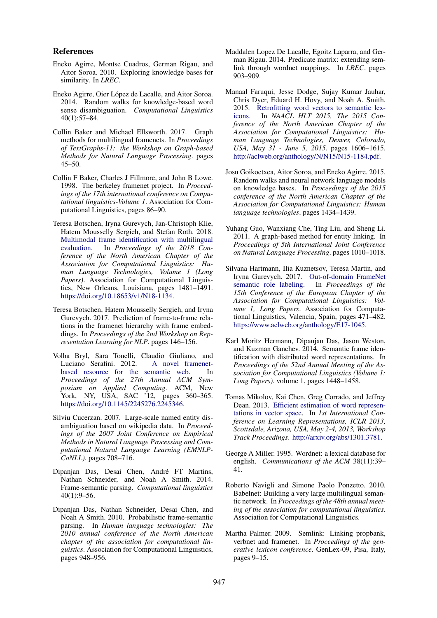#### References

- <span id="page-8-8"></span>Eneko Agirre, Montse Cuadros, German Rigau, and Aitor Soroa. 2010. Exploring knowledge bases for similarity. In *LREC*.
- <span id="page-8-7"></span>Eneko Agirre, Oier López de Lacalle, and Aitor Soroa. 2014. Random walks for knowledge-based word sense disambiguation. *Computational Linguistics* 40(1):57–84.
- <span id="page-8-3"></span>Collin Baker and Michael Ellsworth. 2017. Graph methods for multilingual framenets. In *Proceedings of TextGraphs-11: the Workshop on Graph-based Methods for Natural Language Processing*. pages 45–50.
- <span id="page-8-1"></span>Collin F Baker, Charles J Fillmore, and John B Lowe. 1998. The berkeley framenet project. In *Proceedings of the 17th international conference on Computational linguistics-Volume 1*. Association for Computational Linguistics, pages 86–90.
- <span id="page-8-19"></span>Teresa Botschen, Iryna Gurevych, Jan-Christoph Klie, Hatem Mousselly Sergieh, and Stefan Roth. 2018. [Multimodal frame identification with multilingual](https://doi.org/10.18653/v1/N18-1134) [evaluation.](https://doi.org/10.18653/v1/N18-1134) In *Proceedings of the 2018 Conference of the North American Chapter of the Association for Computational Linguistics: Human Language Technologies, Volume 1 (Long Papers)*. Association for Computational Linguistics, New Orleans, Louisiana, pages 1481–1491. [https://doi.org/10.18653/v1/N18-1134.](https://doi.org/10.18653/v1/N18-1134)
- <span id="page-8-14"></span>Teresa Botschen, Hatem Mousselly Sergieh, and Iryna Gurevych. 2017. Prediction of frame-to-frame relations in the framenet hierarchy with frame embeddings. In *Proceedings of the 2nd Workshop on Representation Learning for NLP*. pages 146–156.
- <span id="page-8-17"></span>Volha Bryl, Sara Tonelli, Claudio Giuliano, and Luciano Serafini. 2012. [A novel framenet](https://doi.org/10.1145/2245276.2245346)[based resource for the semantic web.](https://doi.org/10.1145/2245276.2245346) In *Proceedings of the 27th Annual ACM Symposium on Applied Computing*. ACM, New York, NY, USA, SAC '12, pages 360–365. [https://doi.org/10.1145/2245276.2245346.](https://doi.org/10.1145/2245276.2245346)
- <span id="page-8-10"></span>Silviu Cucerzan. 2007. Large-scale named entity disambiguation based on wikipedia data. In *Proceedings of the 2007 Joint Conference on Empirical Methods in Natural Language Processing and Computational Natural Language Learning (EMNLP-CoNLL)*. pages 708–716.
- <span id="page-8-4"></span>Dipanian Das, Desai Chen, André FT Martins, Nathan Schneider, and Noah A Smith. 2014. Frame-semantic parsing. *Computational linguistics* 40(1):9–56.
- <span id="page-8-2"></span>Dipanjan Das, Nathan Schneider, Desai Chen, and Noah A Smith. 2010. Probabilistic frame-semantic parsing. In *Human language technologies: The 2010 annual conference of the North American chapter of the association for computational linguistics*. Association for Computational Linguistics, pages 948–956.
- <span id="page-8-15"></span>Maddalen Lopez De Lacalle, Egoitz Laparra, and German Rigau. 2014. Predicate matrix: extending semlink through wordnet mappings. In *LREC*. pages 903–909.
- <span id="page-8-13"></span>Manaal Faruqui, Jesse Dodge, Sujay Kumar Jauhar, Chris Dyer, Eduard H. Hovy, and Noah A. Smith. 2015. [Retrofitting word vectors to semantic lex](http://aclweb.org/anthology/N/N15/N15-1184.pdf)[icons.](http://aclweb.org/anthology/N/N15/N15-1184.pdf) In *NAACL HLT 2015, The 2015 Conference of the North American Chapter of the Association for Computational Linguistics: Human Language Technologies, Denver, Colorado, USA, May 31 - June 5, 2015*. pages 1606–1615. [http://aclweb.org/anthology/N/N15/N15-1184.pdf.](http://aclweb.org/anthology/N/N15/N15-1184.pdf)
- <span id="page-8-12"></span>Josu Goikoetxea, Aitor Soroa, and Eneko Agirre. 2015. Random walks and neural network language models on knowledge bases. In *Proceedings of the 2015 conference of the North American Chapter of the Association for Computational Linguistics: Human language technologies*. pages 1434–1439.
- <span id="page-8-9"></span>Yuhang Guo, Wanxiang Che, Ting Liu, and Sheng Li. 2011. A graph-based method for entity linking. In *Proceedings of 5th International Joint Conference on Natural Language Processing*. pages 1010–1018.
- <span id="page-8-5"></span>Silvana Hartmann, Ilia Kuznetsov, Teresa Martin, and Iryna Gurevych. 2017. [Out-of-domain FrameNet](https://www.aclweb.org/anthology/E17-1045)<br>semantic role labeling. In *Proceedings of the* [semantic role labeling.](https://www.aclweb.org/anthology/E17-1045) *15th Conference of the European Chapter of the Association for Computational Linguistics: Volume 1, Long Papers*. Association for Computational Linguistics, Valencia, Spain, pages 471–482. [https://www.aclweb.org/anthology/E17-1045.](https://www.aclweb.org/anthology/E17-1045)
- <span id="page-8-6"></span>Karl Moritz Hermann, Dipanjan Das, Jason Weston, and Kuzman Ganchev. 2014. Semantic frame identification with distributed word representations. In *Proceedings of the 52nd Annual Meeting of the Association for Computational Linguistics (Volume 1: Long Papers)*. volume 1, pages 1448–1458.
- <span id="page-8-11"></span>Tomas Mikolov, Kai Chen, Greg Corrado, and Jeffrey Dean. 2013. [Efficient estimation of word represen](http://arxiv.org/abs/1301.3781)[tations in vector space.](http://arxiv.org/abs/1301.3781) In *1st International Conference on Learning Representations, ICLR 2013, Scottsdale, Arizona, USA, May 2-4, 2013, Workshop Track Proceedings*. [http://arxiv.org/abs/1301.3781.](http://arxiv.org/abs/1301.3781)
- <span id="page-8-0"></span>George A Miller. 1995. Wordnet: a lexical database for english. *Communications of the ACM* 38(11):39– 41.
- <span id="page-8-18"></span>Roberto Navigli and Simone Paolo Ponzetto. 2010. Babelnet: Building a very large multilingual semantic network. In *Proceedings of the 48th annual meeting of the association for computational linguistics*. Association for Computational Linguistics.
- <span id="page-8-16"></span>Martha Palmer. 2009. Semlink: Linking propbank, verbnet and framenet. In *Proceedings of the generative lexicon conference*. GenLex-09, Pisa, Italy, pages 9–15.